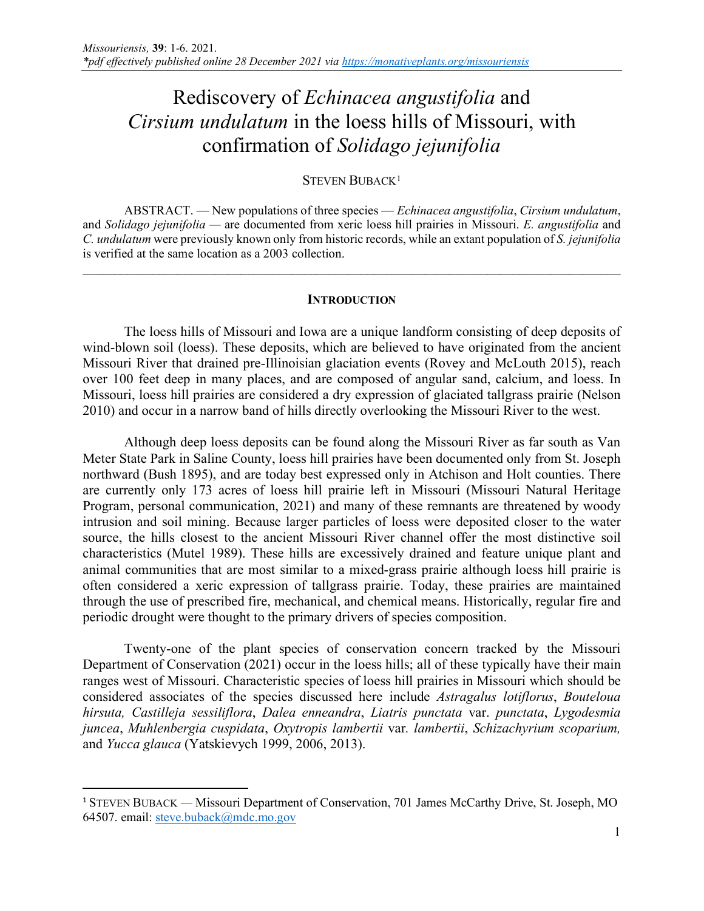# Rediscovery of *Echinacea angustifolia* and *Cirsium undulatum* in the loess hills of Missouri, with confirmation of *Solidago jejunifolia*

## STEVEN BUBACK<sup>[1](#page-0-0)</sup>

ABSTRACT. — New populations of three species — *Echinacea angustifolia*, *Cirsium undulatum*, and *Solidago jejunifolia —* are documented from xeric loess hill prairies in Missouri. *E. angustifolia* and *C. undulatum* were previously known only from historic records, while an extant population of *S. jejunifolia* is verified at the same location as a 2003 collection.

#### **INTRODUCTION**

 $\_$  , and the contribution of the contribution of the contribution of the contribution of  $\mathcal{L}_\text{max}$ 

The loess hills of Missouri and Iowa are a unique landform consisting of deep deposits of wind-blown soil (loess). These deposits, which are believed to have originated from the ancient Missouri River that drained pre-Illinoisian glaciation events (Rovey and McLouth 2015), reach over 100 feet deep in many places, and are composed of angular sand, calcium, and loess. In Missouri, loess hill prairies are considered a dry expression of glaciated tallgrass prairie (Nelson 2010) and occur in a narrow band of hills directly overlooking the Missouri River to the west.

Although deep loess deposits can be found along the Missouri River as far south as Van Meter State Park in Saline County, loess hill prairies have been documented only from St. Joseph northward (Bush 1895), and are today best expressed only in Atchison and Holt counties. There are currently only 173 acres of loess hill prairie left in Missouri (Missouri Natural Heritage Program, personal communication, 2021) and many of these remnants are threatened by woody intrusion and soil mining. Because larger particles of loess were deposited closer to the water source, the hills closest to the ancient Missouri River channel offer the most distinctive soil characteristics (Mutel 1989). These hills are excessively drained and feature unique plant and animal communities that are most similar to a mixed-grass prairie although loess hill prairie is often considered a xeric expression of tallgrass prairie. Today, these prairies are maintained through the use of prescribed fire, mechanical, and chemical means. Historically, regular fire and periodic drought were thought to the primary drivers of species composition.

Twenty-one of the plant species of conservation concern tracked by the Missouri Department of Conservation (2021) occur in the loess hills; all of these typically have their main ranges west of Missouri. Characteristic species of loess hill prairies in Missouri which should be considered associates of the species discussed here include *Astragalus lotiflorus*, *Bouteloua hirsuta, Castilleja sessiliflora*, *Dalea enneandra*, *Liatris punctata* var. *punctata*, *Lygodesmia juncea*, *Muhlenbergia cuspidata*, *Oxytropis lambertii* var*. lambertii*, *Schizachyrium scoparium,*  and *Yucca glauca* (Yatskievych 1999, 2006, 2013).

<span id="page-0-0"></span><sup>&</sup>lt;sup>1</sup> STEVEN BUBACK — Missouri Department of Conservation, 701 James McCarthy Drive, St. Joseph, MO 64507. email: steve.buback@mdc.mo.gov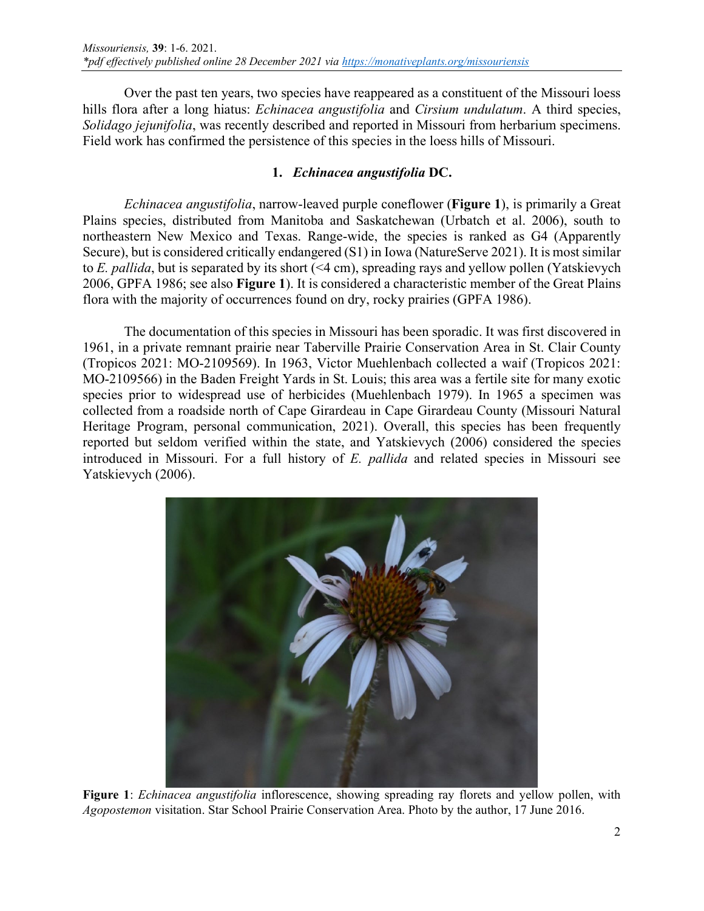Over the past ten years, two species have reappeared as a constituent of the Missouri loess hills flora after a long hiatus: *Echinacea angustifolia* and *Cirsium undulatum*. A third species, *Solidago jejunifolia*, was recently described and reported in Missouri from herbarium specimens. Field work has confirmed the persistence of this species in the loess hills of Missouri.

# **1.** *Echinacea angustifolia* **DC.**

*Echinacea angustifolia*, narrow-leaved purple coneflower (**Figure 1**), is primarily a Great Plains species, distributed from Manitoba and Saskatchewan (Urbatch et al. 2006), south to northeastern New Mexico and Texas. Range-wide, the species is ranked as G4 (Apparently Secure), but is considered critically endangered (S1) in Iowa (NatureServe 2021). It is most similar to *E. pallida*, but is separated by its short (<4 cm), spreading rays and yellow pollen (Yatskievych 2006, GPFA 1986; see also **Figure 1**). It is considered a characteristic member of the Great Plains flora with the majority of occurrences found on dry, rocky prairies (GPFA 1986).

The documentation of this species in Missouri has been sporadic. It was first discovered in 1961, in a private remnant prairie near Taberville Prairie Conservation Area in St. Clair County (Tropicos 2021: MO-2109569). In 1963, Victor Muehlenbach collected a waif (Tropicos 2021: MO-2109566) in the Baden Freight Yards in St. Louis; this area was a fertile site for many exotic species prior to widespread use of herbicides (Muehlenbach 1979). In 1965 a specimen was collected from a roadside north of Cape Girardeau in Cape Girardeau County (Missouri Natural Heritage Program, personal communication, 2021). Overall, this species has been frequently reported but seldom verified within the state, and Yatskievych (2006) considered the species introduced in Missouri. For a full history of *E. pallida* and related species in Missouri see Yatskievych (2006).



**Figure 1**: *Echinacea angustifolia* inflorescence, showing spreading ray florets and yellow pollen, with *Agopostemon* visitation. Star School Prairie Conservation Area. Photo by the author, 17 June 2016.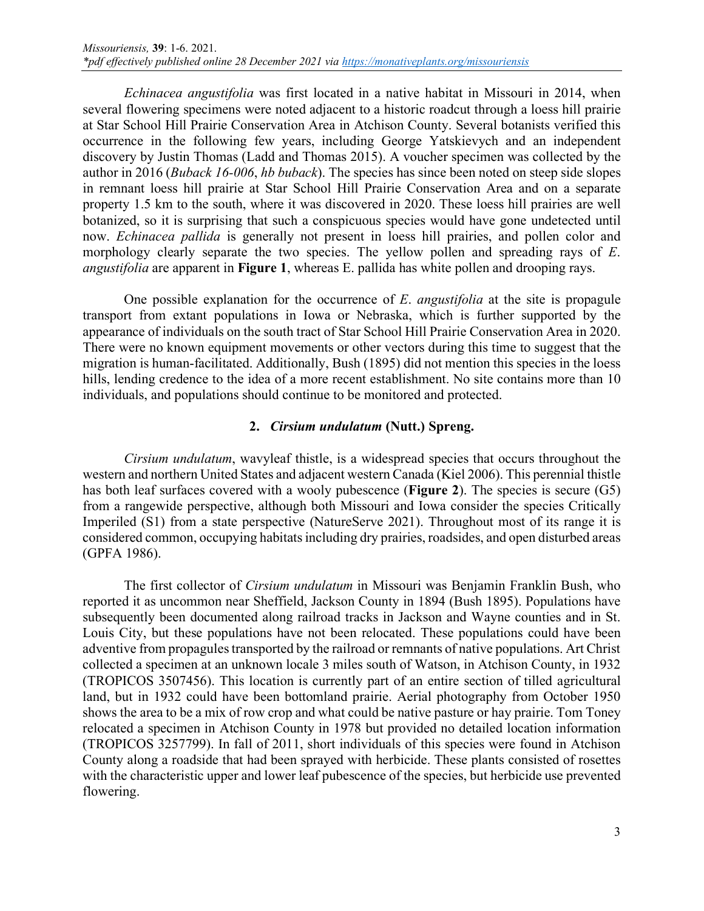*Echinacea angustifolia* was first located in a native habitat in Missouri in 2014, when several flowering specimens were noted adjacent to a historic roadcut through a loess hill prairie at Star School Hill Prairie Conservation Area in Atchison County. Several botanists verified this occurrence in the following few years, including George Yatskievych and an independent discovery by Justin Thomas (Ladd and Thomas 2015). A voucher specimen was collected by the author in 2016 (*Buback 16-006*, *hb buback*). The species has since been noted on steep side slopes in remnant loess hill prairie at Star School Hill Prairie Conservation Area and on a separate property 1.5 km to the south, where it was discovered in 2020. These loess hill prairies are well botanized, so it is surprising that such a conspicuous species would have gone undetected until now. *Echinacea pallida* is generally not present in loess hill prairies, and pollen color and morphology clearly separate the two species. The yellow pollen and spreading rays of *E*. *angustifolia* are apparent in **Figure 1**, whereas E. pallida has white pollen and drooping rays.

One possible explanation for the occurrence of *E*. *angustifolia* at the site is propagule transport from extant populations in Iowa or Nebraska, which is further supported by the appearance of individuals on the south tract of Star School Hill Prairie Conservation Area in 2020. There were no known equipment movements or other vectors during this time to suggest that the migration is human-facilitated. Additionally, Bush (1895) did not mention this species in the loess hills, lending credence to the idea of a more recent establishment. No site contains more than 10 individuals, and populations should continue to be monitored and protected.

## **2.** *Cirsium undulatum* **(Nutt.) Spreng.**

 *Cirsium undulatum*, wavyleaf thistle, is a widespread species that occurs throughout the western and northern United States and adjacent western Canada (Kiel 2006). This perennial thistle has both leaf surfaces covered with a wooly pubescence (**Figure 2**). The species is secure (G5) from a rangewide perspective, although both Missouri and Iowa consider the species Critically Imperiled (S1) from a state perspective (NatureServe 2021). Throughout most of its range it is considered common, occupying habitats including dry prairies, roadsides, and open disturbed areas (GPFA 1986).

The first collector of *Cirsium undulatum* in Missouri was Benjamin Franklin Bush, who reported it as uncommon near Sheffield, Jackson County in 1894 (Bush 1895). Populations have subsequently been documented along railroad tracks in Jackson and Wayne counties and in St. Louis City, but these populations have not been relocated. These populations could have been adventive from propagules transported by the railroad or remnants of native populations. Art Christ collected a specimen at an unknown locale 3 miles south of Watson, in Atchison County, in 1932 (TROPICOS 3507456). This location is currently part of an entire section of tilled agricultural land, but in 1932 could have been bottomland prairie. Aerial photography from October 1950 shows the area to be a mix of row crop and what could be native pasture or hay prairie. Tom Toney relocated a specimen in Atchison County in 1978 but provided no detailed location information (TROPICOS 3257799). In fall of 2011, short individuals of this species were found in Atchison County along a roadside that had been sprayed with herbicide. These plants consisted of rosettes with the characteristic upper and lower leaf pubescence of the species, but herbicide use prevented flowering.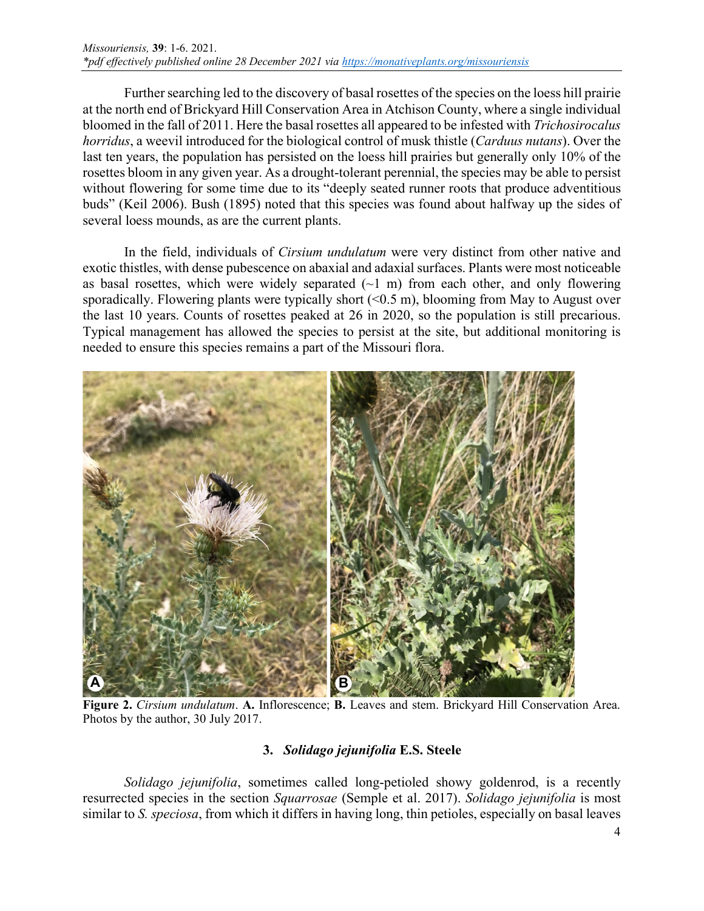Further searching led to the discovery of basal rosettes of the species on the loess hill prairie at the north end of Brickyard Hill Conservation Area in Atchison County, where a single individual bloomed in the fall of 2011. Here the basal rosettes all appeared to be infested with *Trichosirocalus horridus*, a weevil introduced for the biological control of musk thistle (*Carduus nutans*). Over the last ten years, the population has persisted on the loess hill prairies but generally only 10% of the rosettes bloom in any given year. As a drought-tolerant perennial, the species may be able to persist without flowering for some time due to its "deeply seated runner roots that produce adventitious buds" (Keil 2006). Bush (1895) noted that this species was found about halfway up the sides of several loess mounds, as are the current plants.

In the field, individuals of *Cirsium undulatum* were very distinct from other native and exotic thistles, with dense pubescence on abaxial and adaxial surfaces. Plants were most noticeable as basal rosettes, which were widely separated  $(\sim 1 \text{ m})$  from each other, and only flowering sporadically. Flowering plants were typically short  $( $0.5 \text{ m}$ ), blooming from May to August over$ the last 10 years. Counts of rosettes peaked at 26 in 2020, so the population is still precarious. Typical management has allowed the species to persist at the site, but additional monitoring is needed to ensure this species remains a part of the Missouri flora.



**Figure 2.** *Cirsium undulatum*. **A.** Inflorescence; **B.** Leaves and stem. Brickyard Hill Conservation Area. Photos by the author, 30 July 2017.

# **3.** *Solidago jejunifolia* **E.S. Steele**

*Solidago jejunifolia*, sometimes called long-petioled showy goldenrod, is a recently resurrected species in the section *Squarrosae* (Semple et al. 2017). *Solidago jejunifolia* is most similar to *S. speciosa*, from which it differs in having long, thin petioles, especially on basal leaves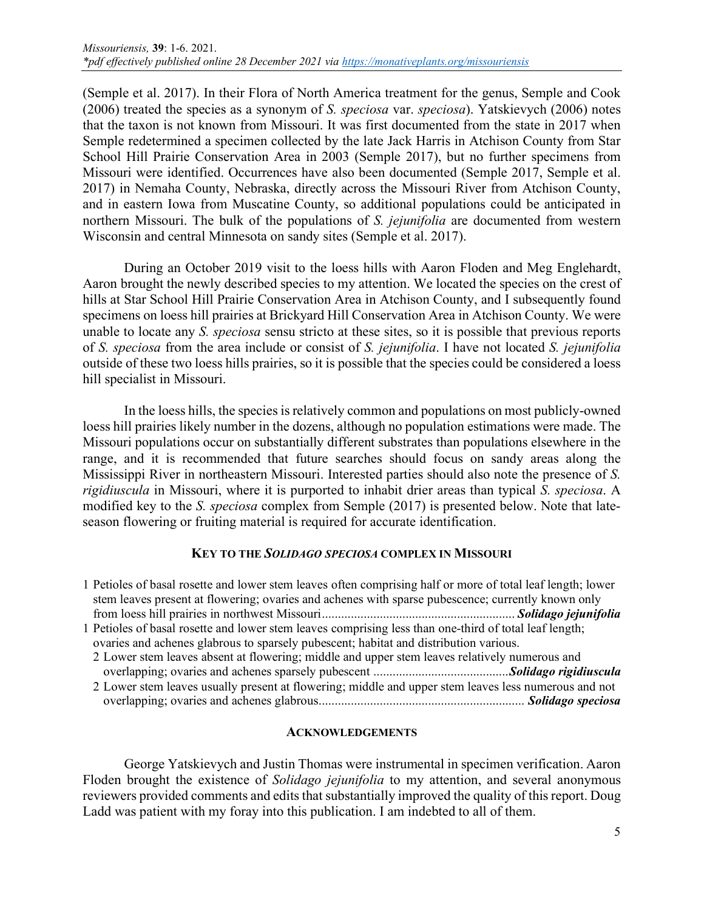(Semple et al. 2017). In their Flora of North America treatment for the genus, Semple and Cook (2006) treated the species as a synonym of *S. speciosa* var. *speciosa*). Yatskievych (2006) notes that the taxon is not known from Missouri. It was first documented from the state in 2017 when Semple redetermined a specimen collected by the late Jack Harris in Atchison County from Star School Hill Prairie Conservation Area in 2003 (Semple 2017), but no further specimens from Missouri were identified. Occurrences have also been documented (Semple 2017, Semple et al. 2017) in Nemaha County, Nebraska, directly across the Missouri River from Atchison County, and in eastern Iowa from Muscatine County, so additional populations could be anticipated in northern Missouri. The bulk of the populations of *S. jejunifolia* are documented from western Wisconsin and central Minnesota on sandy sites (Semple et al. 2017).

During an October 2019 visit to the loess hills with Aaron Floden and Meg Englehardt, Aaron brought the newly described species to my attention. We located the species on the crest of hills at Star School Hill Prairie Conservation Area in Atchison County, and I subsequently found specimens on loess hill prairies at Brickyard Hill Conservation Area in Atchison County. We were unable to locate any *S. speciosa* sensu stricto at these sites, so it is possible that previous reports of *S. speciosa* from the area include or consist of *S. jejunifolia*. I have not located *S. jejunifolia* outside of these two loess hills prairies, so it is possible that the species could be considered a loess hill specialist in Missouri.

In the loess hills, the species is relatively common and populations on most publicly-owned loess hill prairies likely number in the dozens, although no population estimations were made. The Missouri populations occur on substantially different substrates than populations elsewhere in the range, and it is recommended that future searches should focus on sandy areas along the Mississippi River in northeastern Missouri. Interested parties should also note the presence of *S. rigidiuscula* in Missouri, where it is purported to inhabit drier areas than typical *S. speciosa*. A modified key to the *S. speciosa* complex from Semple (2017) is presented below. Note that lateseason flowering or fruiting material is required for accurate identification.

### **KEY TO THE** *SOLIDAGO SPECIOSA* **COMPLEX IN MISSOURI**

| 1 Petioles of basal rosette and lower stem leaves often comprising half or more of total leaf length; lower<br>stem leaves present at flowering; ovaries and achenes with sparse pubescence; currently known only |  |
|-------------------------------------------------------------------------------------------------------------------------------------------------------------------------------------------------------------------|--|
|                                                                                                                                                                                                                   |  |
| 1 Petioles of basal rosette and lower stem leaves comprising less than one-third of total leaf length;                                                                                                            |  |
| ovaries and achenes glabrous to sparsely pubescent; habitat and distribution various.                                                                                                                             |  |
| 2 Lower stem leaves absent at flowering; middle and upper stem leaves relatively numerous and                                                                                                                     |  |
|                                                                                                                                                                                                                   |  |
| 2 Lower stem leaves usually present at flowering; middle and upper stem leaves less numerous and not                                                                                                              |  |
|                                                                                                                                                                                                                   |  |

### **ACKNOWLEDGEMENTS**

George Yatskievych and Justin Thomas were instrumental in specimen verification. Aaron Floden brought the existence of *Solidago jejunifolia* to my attention, and several anonymous reviewers provided comments and edits that substantially improved the quality of this report. Doug Ladd was patient with my foray into this publication. I am indebted to all of them.